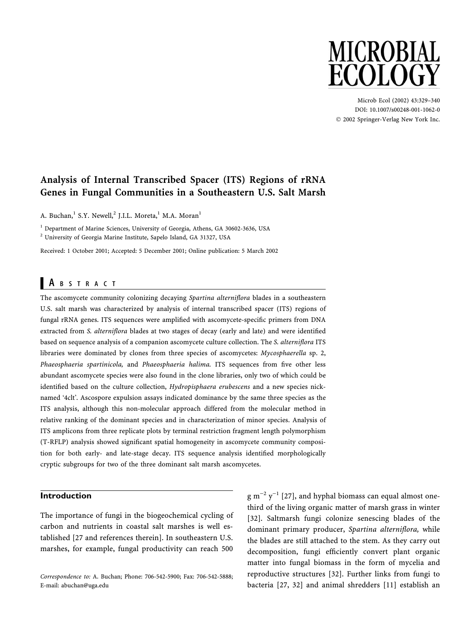

Microb Ecol (2002) 43:329-340 DOI: 10.1007/s00248-001-1062-0 © 2002 Springer-Verlag New York Inc.

# Analysis of Internal Transcribed Spacer (ITS) Regions of rRNA Genes in Fungal Communities in a Southeastern U.S. Salt Marsh

A. Buchan,<sup>1</sup> S.Y. Newell,<sup>2</sup> J.I.L. Moreta,<sup>1</sup> M.A. Moran<sup>1</sup>

<sup>1</sup> Department of Marine Sciences, University of Georgia, Athens, GA 30602-3636, USA

<sup>2</sup> University of Georgia Marine Institute, Sapelo Island, GA 31327, USA

Received: 1 October 2001; Accepted: 5 December 2001; Online publication: 5 March 2002

# A B S T R A C T

The ascomycete community colonizing decaying Spartina alterniflora blades in a southeastern U.S. salt marsh was characterized by analysis of internal transcribed spacer (ITS) regions of fungal rRNA genes. ITS sequences were amplified with ascomycete-specific primers from DNA extracted from S. alterniflora blades at two stages of decay (early and late) and were identified based on sequence analysis of a companion ascomycete culture collection. The S. alterniflora ITS libraries were dominated by clones from three species of ascomycetes: Mycosphaerella sp. 2, Phaeosphaeria spartinicola, and Phaeosphaeria halima. ITS sequences from five other less abundant ascomycete species were also found in the clone libraries, only two of which could be identified based on the culture collection, Hydropisphaera erubescens and a new species nicknamed '4clt'. Ascospore expulsion assays indicated dominance by the same three species as the ITS analysis, although this non-molecular approach differed from the molecular method in relative ranking of the dominant species and in characterization of minor species. Analysis of ITS amplicons from three replicate plots by terminal restriction fragment length polymorphism (T-RFLP) analysis showed significant spatial homogeneity in ascomycete community composition for both early- and late-stage decay. ITS sequence analysis identified morphologically cryptic subgroups for two of the three dominant salt marsh ascomycetes.

## **Introduction**

The importance of fungi in the biogeochemical cycling of carbon and nutrients in coastal salt marshes is well established [27 and references therein]. In southeastern U.S. marshes, for example, fungal productivity can reach 500

Correspondence to: A. Buchan; Phone: 706-542-5900; Fax: 706-542-5888; E-mail: abuchan@uga.edu

 $\rm g~m^{-2}~y^{-1}$  [27], and hyphal biomass can equal almost onethird of the living organic matter of marsh grass in winter [32]. Saltmarsh fungi colonize senescing blades of the dominant primary producer, Spartina alterniflora, while the blades are still attached to the stem. As they carry out decomposition, fungi efficiently convert plant organic matter into fungal biomass in the form of mycelia and reproductive structures [32]. Further links from fungi to bacteria [27, 32] and animal shredders [11] establish an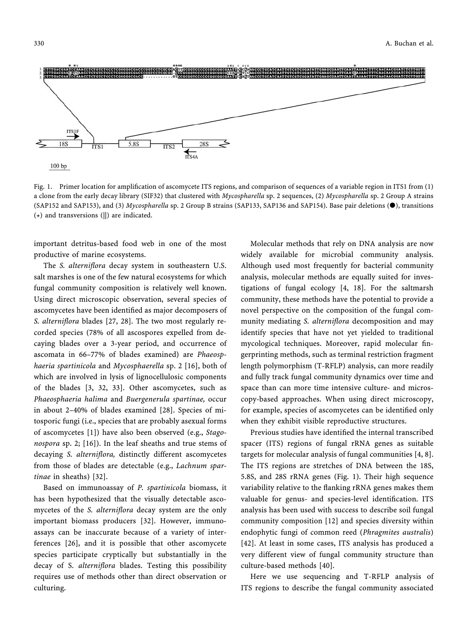

Fig. 1. Primer location for amplification of ascomycete ITS regions, and comparison of sequences of a variable region in ITS1 from (1) a clone from the early decay library (SIF32) that clustered with Mycospharella sp. 2 sequences, (2) Mycospharella sp. 2 Group A strains (SAP152 and SAP153), and (3) Mycospharella sp. 2 Group B strains (SAP133, SAP136 and SAP154). Base pair deletions (.), transitions  $(\star)$  and transversions (||) are indicated.

important detritus-based food web in one of the most productive of marine ecosystems.

The S. alterniflora decay system in southeastern U.S. salt marshes is one of the few natural ecosystems for which fungal community composition is relatively well known. Using direct microscopic observation, several species of ascomycetes have been identified as major decomposers of S. alterniflora blades [27, 28]. The two most regularly recorded species (78% of all ascospores expelled from decaying blades over a 3-year period, and occurrence of ascomata in 66-77% of blades examined) are Phaeosphaeria spartinicola and Mycosphaerella sp. 2 [16], both of which are involved in lysis of lignocellulosic components of the blades [3, 32, 33]. Other ascomycetes, such as Phaeosphaeria halima and Buergenerula spartinae, occur in about 2-40% of blades examined [28]. Species of mitosporic fungi (i.e., species that are probably asexual forms of ascomycetes [1]) have also been observed (e.g., Stagonospora sp. 2; [16]). In the leaf sheaths and true stems of decaying S. alterniflora, distinctly different ascomycetes from those of blades are detectable (e.g., Lachnum spar*tinae* in sheaths) [32].

Based on immunoassay of P. spartinicola biomass, it has been hypothesized that the visually detectable ascomycetes of the S. alterniflora decay system are the only important biomass producers [32]. However, immunoassays can be inaccurate because of a variety of interferences [26], and it is possible that other ascomycete species participate cryptically but substantially in the decay of S. alterniflora blades. Testing this possibility requires use of methods other than direct observation or culturing.

Molecular methods that rely on DNA analysis are now widely available for microbial community analysis. Although used most frequently for bacterial community analysis, molecular methods are equally suited for investigations of fungal ecology [4, 18]. For the saltmarsh community, these methods have the potential to provide a novel perspective on the composition of the fungal community mediating S. alterniflora decomposition and may identify species that have not yet yielded to traditional mycological techniques. Moreover, rapid molecular fingerprinting methods, such as terminal restriction fragment length polymorphism (T-RFLP) analysis, can more readily and fully track fungal community dynamics over time and space than can more time intensive culture- and microscopy-based approaches. When using direct microscopy, for example, species of ascomycetes can be identified only when they exhibit visible reproductive structures.

Previous studies have identified the internal transcribed spacer (ITS) regions of fungal rRNA genes as suitable targets for molecular analysis of fungal communities [4, 8]. The ITS regions are stretches of DNA between the 18S, 5.8S, and 28S rRNA genes (Fig. 1). Their high sequence variability relative to the flanking rRNA genes makes them valuable for genus- and species-level identification. ITS analysis has been used with success to describe soil fungal community composition [12] and species diversity within endophytic fungi of common reed (Phragmites australis) [42]. At least in some cases, ITS analysis has produced a very different view of fungal community structure than culture-based methods [40].

Here we use sequencing and T-RFLP analysis of ITS regions to describe the fungal community associated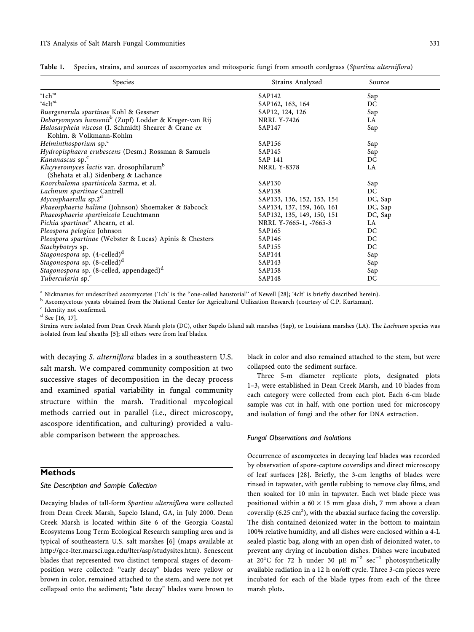|  |  | Table 1. Species, strains, and sources of ascomycetes and mitosporic fungi from smooth cordgrass (Spartina alterniflora) |  |  |
|--|--|--------------------------------------------------------------------------------------------------------------------------|--|--|
|  |  |                                                                                                                          |  |  |

| <b>Species</b>                                                    | Strains Analyzed           | Source  |
|-------------------------------------------------------------------|----------------------------|---------|
| '1ch' <sup>a</sup>                                                | SAP142                     | Sap     |
| '4clt <sup>'a</sup>                                               | SAP162, 163, 164           | DC      |
| Buergenerula spartinae Kohl & Gessner                             | SAP12, 124, 126            | Sap     |
| Debaryomyces hansenii <sup>b</sup> (Zopf) Lodder & Kreger-van Rij | <b>NRRL Y-7426</b>         | LA.     |
| Halosarpheia viscosa (I. Schmidt) Shearer & Crane ex              | SAP147                     | Sap     |
| Kohlm. & Volkmann-Kohlm                                           |                            |         |
| Helminthosporium sp. <sup>c</sup>                                 | <b>SAP156</b>              | Sap     |
| Hydropisphaera erubescens (Desm.) Rossman & Samuels               | SAP145                     | Sap     |
| Kananascus sp. <sup>c</sup>                                       | SAP 141                    | DC      |
| Kluyveromyces lactis var. drosophilarum <sup>b</sup>              | <b>NRRL Y-8378</b>         | LA      |
| (Shehata et al.) Sidenberg & Lachance                             |                            |         |
| Koorchaloma spartinicola Sarma, et al.                            | <b>SAP130</b>              | Sap     |
| Lachnum spartinae Cantrell                                        | <b>SAP138</b>              | DC      |
| Mycosphaerella sp.2 $d$                                           | SAP133, 136, 152, 153, 154 | DC, Sap |
| Phaeosphaeria halima (Johnson) Shoemaker & Babcock                | SAP134, 137, 159, 160, 161 | DC, Sap |
| Phaeosphaeria spartinicola Leuchtmann                             | SAP132, 135, 149, 150, 151 | DC, Sap |
| Pichia spartinae <sup>b</sup> Ahearn, et al.                      | NRRL Y-7665-1, -7665-3     | LA.     |
| Pleospora pelagica Johnson                                        | SAP165                     | DC      |
| Pleospora spartinae (Webster & Lucas) Apinis & Chesters           | SAP146                     | DC      |
| Stachybotrys sp.                                                  | <b>SAP155</b>              | DC      |
| Stagonospora sp. (4-celled) <sup>d</sup>                          | SAP144                     | Sap     |
| Stagonospora sp. (8-celled) <sup>d</sup>                          | SAP143                     | Sap     |
| Stagonospora sp. (8-celled, appendaged) <sup>d</sup>              | <b>SAP158</b>              | Sap     |
| Tubercularia sp. <sup>c</sup>                                     | <b>SAP148</b>              | DC      |

<sup>a</sup> Nicknames for undescribed ascomycetes ('1ch' is the "one-celled haustorial" of Newell [28]; '4clt' is briefly described herein).

<sup>b</sup> Ascomycetous yeasts obtained from the National Center for Agricultural Utilization Research (courtesy of C.P. Kurtzman).

<sup>c</sup> Identity not confirmed.

 $d$  See [16, 17].

Strains were isolated from Dean Creek Marsh plots (DC), other Sapelo Island salt marshes (Sap), or Louisiana marshes (LA). The Lachnum species was isolated from leaf sheaths [5]; all others were from leaf blades.

with decaying S. alterniflora blades in a southeastern U.S. salt marsh. We compared community composition at two successive stages of decomposition in the decay process and examined spatial variability in fungal community structure within the marsh. Traditional mycological methods carried out in parallel (i.e., direct microscopy, ascospore identification, and culturing) provided a valuable comparison between the approaches.

# **Methods**

### Site Description and Sample Collection

Decaying blades of tall-form Spartina alterniflora were collected from Dean Creek Marsh, Sapelo Island, GA, in July 2000. Dean Creek Marsh is located within Site 6 of the Georgia Coastal Ecosystems Long Term Ecological Research sampling area and is typical of southeastern U.S. salt marshes [6] (maps available at http://gce-lter.marsci.uga.edu/lter/asp/studysites.htm). Senescent blades that represented two distinct temporal stages of decomposition were collected: "early decay" blades were yellow or brown in color, remained attached to the stem, and were not yet collapsed onto the sediment; "late decay" blades were brown to

black in color and also remained attached to the stem, but were collapsed onto the sediment surface.

Three 5-m diameter replicate plots, designated plots 1-3, were established in Dean Creek Marsh, and 10 blades from each category were collected from each plot. Each 6-cm blade sample was cut in half, with one portion used for microscopy and isolation of fungi and the other for DNA extraction.

### **Fungal Observations and Isolations**

Occurrence of ascomycetes in decaying leaf blades was recorded by observation of spore-capture coverslips and direct microscopy of leaf surfaces [28]. Briefly, the 3-cm lengths of blades were rinsed in tapwater, with gentle rubbing to remove clay films, and then soaked for 10 min in tapwater. Each wet blade piece was positioned within a  $60 \times 15$  mm glass dish, 7 mm above a clean coverslip (6.25 cm<sup>2</sup>), with the abaxial surface facing the coverslip. The dish contained deionized water in the bottom to maintain 100% relative humidity, and all dishes were enclosed within a 4-L sealed plastic bag, along with an open dish of deionized water, to prevent any drying of incubation dishes. Dishes were incubated at 20°C for 72 h under 30  $\mu$ E m<sup>-2</sup> sec<sup>-1</sup> photosynthetically available radiation in a 12 h on/off cycle. Three 3-cm pieces were incubated for each of the blade types from each of the three marsh plots.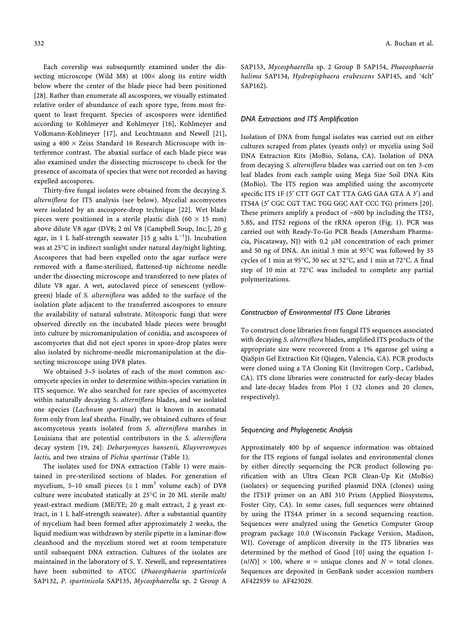Each coverslip was subsequently examined under the dissecting microscope (Wild M8) at 100x along its entire width below where the center of the blade piece had been positioned [28]. Rather than enumerate all ascospores, we visually estimated relative order of abundance of each spore type, from most frequent to least frequent. Species of ascospores were identified according to Kohlmeyer and Kohlmeyer [16], Kohlmeyer and Volkmann-Kohlmeyer [17], and Leuchtmann and Newell [21], using a  $400 \times Z$ eiss Standard 16 Research Microscope with interference contrast. The abaxial surface of each blade piece was also examined under the dissecting microscope to check for the presence of ascomata of species that were not recorded as having expelled ascospores.

Thirty-five fungal isolates were obtained from the decaying S. alterniflora for ITS analysis (see below). Mycelial ascomycetes were isolated by an ascospore-drop technique [22]. Wet blade pieces were positioned in a sterile plastic dish (60  $\times$  15 mm) above dilute V8 agar (DV8; 2 ml V8 [Campbell Soup, Inc.], 20 g agar, in 1 L half-strength seawater [15 g salts  $L^{-1}$ ]). Incubation was at 25°C in indirect sunlight under natural day/night lighting. Ascospores that had been expelled onto the agar surface were removed with a flame-sterilized, flattened-tip nichrome needle under the dissecting microscope and transferred to new plates of dilute V8 agar. A wet, autoclaved piece of senescent (yellowgreen) blade of S. alterniflora was added to the surface of the isolation plate adjacent to the transferred ascospores to ensure the availability of natural substrate. Mitosporic fungi that were observed directly on the incubated blade pieces were brought into culture by micromanipulation of conidia, and ascospores of ascomycetes that did not eject spores in spore-drop plates were also isolated by nichrome-needle micromanipulation at the dissecting microscope using DV8 plates.

We obtained 3-5 isolates of each of the most common ascomycete species in order to determine within-species variation in ITS sequence. We also searched for rare species of ascomycetes within naturally decaying S. alterniflora blades, and we isolated one species (Lachnum spartinae) that is known in ascomatal form only from leaf sheaths. Finally, we obtained cultures of four ascomycetous yeasts isolated from S. alterniflora marshes in Louisiana that are potential contributors in the S. alterniflora decay system [19, 24]: Debaryomyces hansenii, Kluyveromyces lactis, and two strains of Pichia spartinae (Table 1).

The isolates used for DNA extraction (Table 1) were maintained in pre-sterilized sections of blades. For generation of mycelium, 5-10 small pieces ( $\approx$  1 mm<sup>3</sup> volume each) of DV8 culture were incubated statically at 25°C in 20 ML sterile malt/ yeast-extract medium (ME/YE; 20 g malt extract, 2 g yeast extract, in 1 L half-strength seawater). After a substantial quantity of mycelium had been formed after approximately 2 weeks, the liquid medium was withdrawn by sterile pipette in a laminar-flow cleanhood and the mycelium stored wet at room temperature until subsequent DNA extraction. Cultures of the isolates are maintained in the laboratory of S. Y. Newell, and representatives have been submitted to ATCC (Phaeosphaeria spartinicola SAP132, P. spartinicola SAP135, Mycosphaerella sp. 2 Group A SAP153, Mycosphaerella sp. 2 Group B SAP154, Phaeosphaeria halima SAP134, Hydropisphaera erubescens SAP145, and '4clt' SAP162).

### **DNA Extractions and ITS Amplification**

Isolation of DNA from fungal isolates was carried out on either cultures scraped from plates (yeasts only) or mycelia using Soil DNA Extraction Kits (MoBio, Solana, CA). Isolation of DNA from decaying S. alterniflora blades was carried out on ten 3-cm leaf blades from each sample using Mega Size Soil DNA Kits (MoBio). The ITS region was amplified using the ascomycete specific ITS 1F (5' CTT GGT CAT TTA GAG GAA GTA A 3') and ITS4A (5' CGC CGT TAC TGG GGC AAT CCC TG) primers [20]. These primers amplify a product of  $~600$  bp including the ITS1, 5.8S, and ITS2 regions of the rRNA operon (Fig. 1). PCR was carried out with Ready-To-Go PCR Beads (Amersham Pharmacia, Piscataway, NJ) with 0.2 µM concentration of each primer and 50 ng of DNA. An initial 3 min at 95°C was followed by 35 cycles of 1 min at 95°C, 30 sec at 52°C, and 1 min at 72°C. A final step of 10 min at 72°C was included to complete any partial polymerizations.

#### **Construction of Environmental ITS Clone Libraries**

To construct clone libraries from fungal ITS sequences associated with decaying S. alterniflora blades, amplified ITS products of the appropriate size were recovered from a 1% agarose gel using a QiaSpin Gel Extraction Kit (Qiagen, Valencia, CA). PCR products were cloned using a TA Cloning Kit (Invitrogen Corp., Carlsbad, CA). ITS clone libraries were constructed for early-decay blades and late-decay blades from Plot 1 (32 clones and 20 clones, respectively).

### Sequencing and Phylogenetic Analysis

Approximately 400 bp of sequence information was obtained for the ITS regions of fungal isolates and environmental clones by either directly sequencing the PCR product following purification with an Ultra Clean PCR Clean-Up Kit (MoBio) (isolates) or sequencing purified plasmid DNA (clones) using the ITS1F primer on an ABI 310 Prism (Applied Biosystems, Foster City, CA). In some cases, full sequences were obtained by using the ITS4A primer in a second sequencing reaction. Sequences were analyzed using the Genetics Computer Group program package 10.0 (Wisconsin Package Version, Madison, WI). Coverage of amplicon diversity in the ITS libraries was determined by the method of Good [10] using the equation 1- $(n/N)$  × 100, where  $n =$  unique clones and  $N =$  total clones. Sequences are deposited in GenBank under accession numbers AF422939 to AF423029.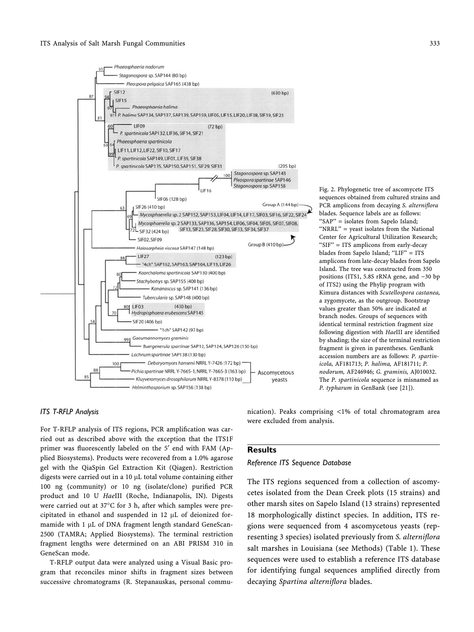

Fig. 2. Phylogenetic tree of ascomycete ITS sequences obtained from cultured strains and PCR amplicons from decaying S. alterniflora blades. Sequence labels are as follows: "SAP" = isolates from Sapelo Island; "NRRL" = yeast isolates from the National Center for Agricultural Utilization Research; "SIF" = ITS amplicons from early-decay blades from Sapelo Island; "LIF" = ITS amplicons from late-decay blades from Sapelo Island. The tree was constructed from 350 positions (ITS1, 5.8S rRNA gene, and ~30 bp of ITS2) using the Phylip program with Kimura distances with Scutellospora castanea, a zygomycete, as the outgroup. Bootstrap values greater than 50% are indicated at branch nodes. Groups of sequences with identical terminal restriction fragment size following digestion with HaeIII are identified by shading; the size of the terminal restriction fragment is given in parentheses. GenBank accession numbers are as follows: P. spartinicola, AF181713; P. halima, AF181711; P. nodorum, AF246946; G. graminis, AJ010032. The P. spartinicola sequence is misnamed as P. typharum in GenBank (see [21]).

#### **ITS T-RFLP Analysis**

For T-RFLP analysis of ITS regions, PCR amplification was carried out as described above with the exception that the ITS1F primer was fluorescently labeled on the 5' end with FAM (Applied Biosystems). Products were recovered from a 1.0% agarose gel with the QiaSpin Gel Extraction Kit (Qiagen). Restriction digests were carried out in a 10 µL total volume containing either 100 ng (community) or 10 ng (isolate/clone) purified PCR product and 10 U HaeIII (Roche, Indianapolis, IN). Digests were carried out at 37°C for 3 h, after which samples were precipitated in ethanol and suspended in 12 µL of deionized formamide with 1 µL of DNA fragment length standard GeneScan-2500 (TAMRA; Applied Biosystems). The terminal restriction fragment lengths were determined on an ABI PRISM 310 in GeneScan mode.

T-RFLP output data were analyzed using a Visual Basic program that reconciles minor shifts in fragment sizes between successive chromatograms (R. Stepanauskas, personal communication). Peaks comprising <1% of total chromatogram area were excluded from analysis.

# **Results**

### Reference ITS Sequence Database

The ITS regions sequenced from a collection of ascomycetes isolated from the Dean Creek plots (15 strains) and other marsh sites on Sapelo Island (13 strains) represented 18 morphologically distinct species. In addition, ITS regions were sequenced from 4 ascomycetous yeasts (representing 3 species) isolated previously from S. alterniflora salt marshes in Louisiana (see Methods) (Table 1). These sequences were used to establish a reference ITS database for identifying fungal sequences amplified directly from decaying Spartina alterniflora blades.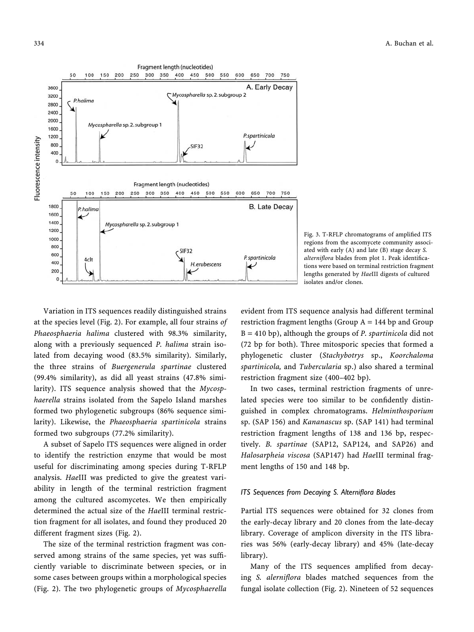

Fig. 3. T-RFLP chromatograms of amplified ITS regions from the ascomycete community associated with early (A) and late (B) stage decay S. alterniflora blades from plot 1. Peak identifications were based on terminal restriction fragment lengths generated by HaeIII digests of cultured isolates and/or clones.

Variation in ITS sequences readily distinguished strains at the species level (Fig. 2). For example, all four strains of Phaeosphaeria halima clustered with 98.3% similarity, along with a previously sequenced P. halima strain isolated from decaying wood (83.5% similarity). Similarly, the three strains of Buergenerula spartinae clustered (99.4% similarity), as did all yeast strains (47.8% similarity). ITS sequence analysis showed that the Mycosphaerella strains isolated from the Sapelo Island marshes formed two phylogenetic subgroups (86% sequence similarity). Likewise, the Phaeosphaeria spartinicola strains formed two subgroups (77.2% similarity).

A subset of Sapelo ITS sequences were aligned in order to identify the restriction enzyme that would be most useful for discriminating among species during T-RFLP analysis. HaeIII was predicted to give the greatest variability in length of the terminal restriction fragment among the cultured ascomycetes. We then empirically determined the actual size of the HaeIII terminal restriction fragment for all isolates, and found they produced 20 different fragment sizes (Fig. 2).

The size of the terminal restriction fragment was conserved among strains of the same species, yet was sufficiently variable to discriminate between species, or in some cases between groups within a morphological species (Fig. 2). The two phylogenetic groups of Mycosphaerella evident from ITS sequence analysis had different terminal restriction fragment lengths (Group  $A = 144$  bp and Group  $B = 410$  bp), although the groups of *P. spartinicola* did not (72 bp for both). Three mitosporic species that formed a phylogenetic cluster (Stachybotrys sp., Koorchaloma spartinicola, and Tubercularia sp.) also shared a terminal restriction fragment size (400-402 bp).

In two cases, terminal restriction fragments of unrelated species were too similar to be confidently distinguished in complex chromatograms. Helminthosporium sp. (SAP 156) and Kananascus sp. (SAP 141) had terminal restriction fragment lengths of 138 and 136 bp, respectively. B. spartinae (SAP12, SAP124, and SAP26) and Halosarpheia viscosa (SAP147) had HaeIII terminal fragment lengths of 150 and 148 bp.

### ITS Sequences from Decaying S. Alterniflora Blades

Partial ITS sequences were obtained for 32 clones from the early-decay library and 20 clones from the late-decay library. Coverage of amplicon diversity in the ITS libraries was 56% (early-decay library) and 45% (late-decay library).

Many of the ITS sequences amplified from decaying S. alerniflora blades matched sequences from the fungal isolate collection (Fig. 2). Nineteen of 52 sequences

Fluorescence intensity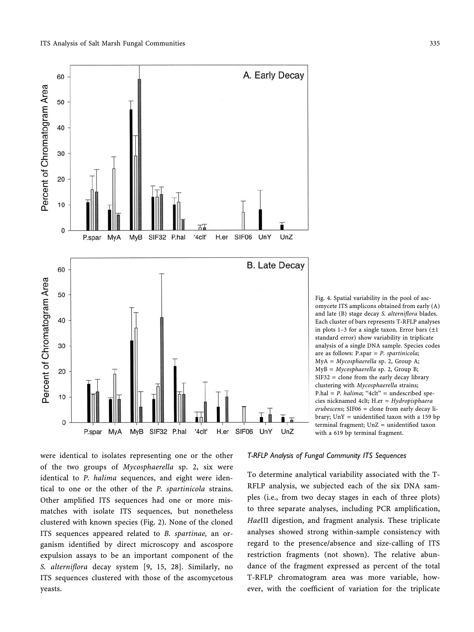

Fig. 4. Spatial variability in the pool of ascomycete ITS amplicons obtained from early (A) and late (B) stage decay S. alterniflora blades. Each cluster of bars represents T-RFLP analyses in plots 1-3 for a single taxon. Error bars  $(\pm 1)$ standard error) show variability in triplicate analysis of a single DNA sample. Species codes are as follows:  $P.\text{spar} = P.\text{ }spartinicola;$ MyA = Mycosphaerella sp. 2, Group A;  $MyB = Mycosphaerella$  sp. 2, Group B;  $SIF32 =$  clone from the early decay library clustering with Mycosphaerella strains; P.hal = P. halima; "4clt" = undescribed species nicknamed 4clt; H.er = Hydropisphaera erubescens; SIF06 = clone from early decay library;  $UnY =$  unidentified taxon with a 159 bp terminal fragment;  $UnZ =$  unidentified taxon with a 619 bp terminal fragment.

were identical to isolates representing one or the other of the two groups of Mycosphaerella sp. 2, six were identical to P. halima sequences, and eight were identical to one or the other of the P. spartinicola strains. Other amplified ITS sequences had one or more mismatches with isolate ITS sequences, but nonetheless clustered with known species (Fig. 2). None of the cloned ITS sequences appeared related to B. spartinae, an organism identified by direct microscopy and ascospore expulsion assays to be an important component of the S. alterniflora decay system [9, 15, 28]. Similarly, no ITS sequences clustered with those of the ascomycetous yeasts.

### T-RFLP Analysis of Fungal Community ITS Sequences

To determine analytical variability associated with the T-RFLP analysis, we subjected each of the six DNA samples (i.e., from two decay stages in each of three plots) to three separate analyses, including PCR amplification, HaeIII digestion, and fragment analysis. These triplicate analyses showed strong within-sample consistency with regard to the presence/absence and size-calling of ITS restriction fragments (not shown). The relative abundance of the fragment expressed as percent of the total T-RFLP chromatogram area was more variable, however, with the coefficient of variation for the triplicate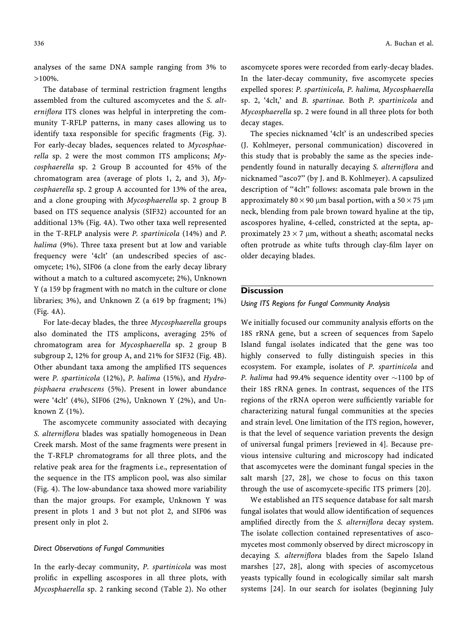analyses of the same DNA sample ranging from 3% to  $>100\%$ .

The database of terminal restriction fragment lengths assembled from the cultured ascomycetes and the S. alterniflora ITS clones was helpful in interpreting the community T-RFLP patterns, in many cases allowing us to identify taxa responsible for specific fragments (Fig. 3). For early-decay blades, sequences related to Mycosphaerella sp. 2 were the most common ITS amplicons; Mycosphaerella sp. 2 Group B accounted for 45% of the chromatogram area (average of plots 1, 2, and 3), Mycosphaerella sp. 2 group A accounted for 13% of the area, and a clone grouping with Mycosphaerella sp. 2 group B based on ITS sequence analysis (SIF32) accounted for an additional 13% (Fig. 4A). Two other taxa well represented in the T-RFLP analysis were P. spartinicola (14%) and P. halima (9%). Three taxa present but at low and variable frequency were '4clt' (an undescribed species of ascomycete; 1%), SIF06 (a clone from the early decay library without a match to a cultured ascomycete; 2%), Unknown Y (a 159 bp fragment with no match in the culture or clone libraries; 3%), and Unknown Z (a 619 bp fragment; 1%) (Fig. 4A).

For late-decay blades, the three Mycosphaerella groups also dominated the ITS amplicons, averaging 25% of chromatogram area for Mycosphaerella sp. 2 group B subgroup 2, 12% for group A, and 21% for SIF32 (Fig. 4B). Other abundant taxa among the amplified ITS sequences were P. spartinicola (12%), P. halima (15%), and Hydropisphaera erubescens (5%). Present in lower abundance were '4clt' (4%), SIF06 (2%), Unknown Y (2%), and Unknown  $Z(1\%)$ .

The ascomycete community associated with decaying S. alterniflora blades was spatially homogeneous in Dean Creek marsh. Most of the same fragments were present in the T-RFLP chromatograms for all three plots, and the relative peak area for the fragments i.e., representation of the sequence in the ITS amplicon pool, was also similar (Fig. 4). The low-abundance taxa showed more variability than the major groups. For example, Unknown Y was present in plots 1 and 3 but not plot 2, and SIF06 was present only in plot 2.

# Direct Observations of Fungal Communities

In the early-decay community, P. spartinicola was most prolific in expelling ascospores in all three plots, with Mycosphaerella sp. 2 ranking second (Table 2). No other ascomycete spores were recorded from early-decay blades. In the later-decay community, five ascomycete species expelled spores: P. spartinicola, P. halima, Mycosphaerella sp. 2, '4clt,' and B. spartinae. Both P. spartinicola and Mycosphaerella sp. 2 were found in all three plots for both decay stages.

The species nicknamed '4clt' is an undescribed species (J. Kohlmeyer, personal communication) discovered in this study that is probably the same as the species independently found in naturally decaying S. alterniflora and nicknamed "asco7" (by J. and B. Kohlmeyer). A capsulized description of "4clt" follows: ascomata pale brown in the approximately 80  $\times$  90 µm basal portion, with a 50  $\times$  75 µm neck, blending from pale brown toward hyaline at the tip, ascospores hyaline, 4-celled, constricted at the septa, approximately  $23 \times 7$  µm, without a sheath; ascomatal necks often protrude as white tufts through clay-film layer on older decaying blades.

# **Discussion**

# Using ITS Regions for Fungal Community Analysis

We initially focused our community analysis efforts on the 18S rRNA gene, but a screen of sequences from Sapelo Island fungal isolates indicated that the gene was too highly conserved to fully distinguish species in this ecosystem. For example, isolates of P. spartinicola and P. halima had 99.4% sequence identity over  $\sim$ 1100 bp of their 18S rRNA genes. In contrast, sequences of the ITS regions of the rRNA operon were sufficiently variable for characterizing natural fungal communities at the species and strain level. One limitation of the ITS region, however, is that the level of sequence variation prevents the design of universal fungal primers [reviewed in 4]. Because previous intensive culturing and microscopy had indicated that ascomycetes were the dominant fungal species in the salt marsh [27, 28], we chose to focus on this taxon through the use of ascomycete-specific ITS primers [20].

We established an ITS sequence database for salt marsh fungal isolates that would allow identification of sequences amplified directly from the S. alterniflora decay system. The isolate collection contained representatives of ascomycetes most commonly observed by direct microscopy in decaying S. alterniflora blades from the Sapelo Island marshes [27, 28], along with species of ascomycetous yeasts typically found in ecologically similar salt marsh systems [24]. In our search for isolates (beginning July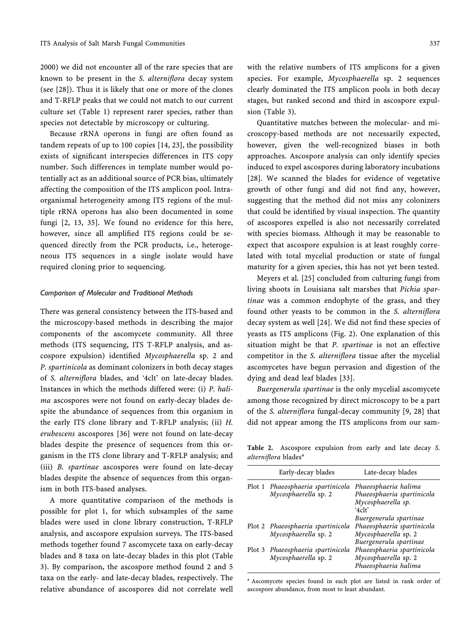2000) we did not encounter all of the rare species that are known to be present in the S. alterniflora decay system (see [28]). Thus it is likely that one or more of the clones and T-RFLP peaks that we could not match to our current culture set (Table 1) represent rarer species, rather than species not detectable by microscopy or culturing.

Because rRNA operons in fungi are often found as tandem repeats of up to 100 copies [14, 23], the possibility exists of significant interspecies differences in ITS copy number. Such differences in template number would potentially act as an additional source of PCR bias, ultimately affecting the composition of the ITS amplicon pool. Intraorganismal heterogeneity among ITS regions of the multiple rRNA operons has also been documented in some fungi [2, 13, 35]. We found no evidence for this here, however, since all amplified ITS regions could be sequenced directly from the PCR products, i.e., heterogeneous ITS sequences in a single isolate would have required cloning prior to sequencing.

#### **Comparison of Molecular and Traditional Methods**

There was general consistency between the ITS-based and the microscopy-based methods in describing the major components of the ascomycete community. All three methods (ITS sequencing, ITS T-RFLP analysis, and ascospore expulsion) identified Mycosphaerella sp. 2 and P. spartinicola as dominant colonizers in both decay stages of S. alterniflora blades, and '4clt' on late-decay blades. Instances in which the methods differed were: (i) P. halima ascospores were not found on early-decay blades despite the abundance of sequences from this organism in the early ITS clone library and T-RFLP analysis; (ii) H. erubescens ascospores [36] were not found on late-decay blades despite the presence of sequences from this organism in the ITS clone library and T-RFLP analysis; and (iii) B. spartinae ascospores were found on late-decay blades despite the absence of sequences from this organism in both ITS-based analyses.

A more quantitative comparison of the methods is possible for plot 1, for which subsamples of the same blades were used in clone library construction, T-RFLP analysis, and ascospore expulsion surveys. The ITS-based methods together found 7 ascomycete taxa on early-decay blades and 8 taxa on late-decay blades in this plot (Table 3). By comparison, the ascospore method found 2 and 5 taxa on the early- and late-decay blades, respectively. The relative abundance of ascospores did not correlate well with the relative numbers of ITS amplicons for a given species. For example, Mycosphaerella sp. 2 sequences clearly dominated the ITS amplicon pools in both decay stages, but ranked second and third in ascospore expulsion (Table 3).

Quantitative matches between the molecular- and microscopy-based methods are not necessarily expected, however, given the well-recognized biases in both approaches. Ascospore analysis can only identify species induced to expel ascospores during laboratory incubations [28]. We scanned the blades for evidence of vegetative growth of other fungi and did not find any, however, suggesting that the method did not miss any colonizers that could be identified by visual inspection. The quantity of ascospores expelled is also not necessarily correlated with species biomass. Although it may be reasonable to expect that ascospore expulsion is at least roughly correlated with total mycelial production or state of fungal maturity for a given species, this has not yet been tested.

Meyers et al. [25] concluded from culturing fungi from living shoots in Louisiana salt marshes that Pichia spartinae was a common endophyte of the grass, and they found other yeasts to be common in the S. alterniflora decay system as well [24]. We did not find these species of yeasts as ITS amplicons (Fig. 2). One explanation of this situation might be that P. spartinae is not an effective competitor in the S. alterniflora tissue after the mycelial ascomycetes have begun pervasion and digestion of the dying and dead leaf blades [33].

Buergenerula spartinae is the only mycelial ascomycete among those recognized by direct microscopy to be a part of the S. alterniflora fungal-decay community [9, 28] that did not appear among the ITS amplicons from our sam-

Table 2. Ascospore expulsion from early and late decay S. alterniflora blades<sup>a</sup>

| Early-decay blades                                        | Late-decay blades                                                                                      |
|-----------------------------------------------------------|--------------------------------------------------------------------------------------------------------|
| Plot 1 Phaeosphaeria spartinicola<br>Mycosphaerella sp. 2 | Phaeosphaeria halima<br>Phaeosphaeria spartinicola<br>Mycosphaerella sp.<br>$4 \text{cl}t$             |
| Plot 2 Phaeosphaeria spartinicola<br>Mycosphaerella sp. 2 | Buergenerula spartinae<br>Phaeosphaeria spartinicola<br>Mycosphaerella sp. 2<br>Buergenerula spartinae |
| Plot 3 Phaeosphaeria spartinicola<br>Mycosphaerella sp. 2 | Phaeosphaeria spartinicola<br>Mycosphaerella sp. 2<br>Phaeosphaeria halima                             |

<sup>a</sup> Ascomycete species found in each plot are listed in rank order of ascospore abundance, from most to least abundant.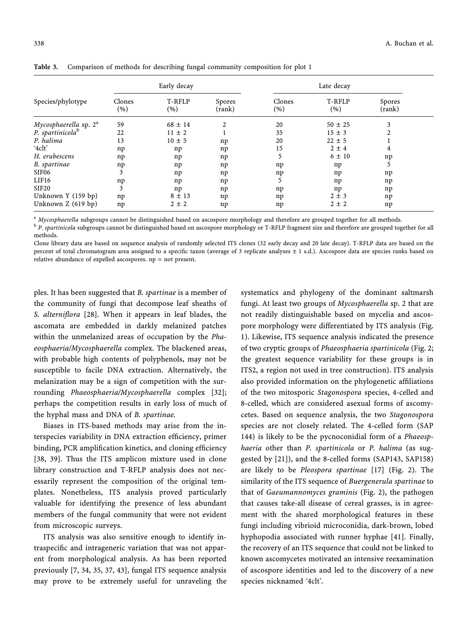|                                   | Early decay   |               |                         | Late decay        |               |                  |  |
|-----------------------------------|---------------|---------------|-------------------------|-------------------|---------------|------------------|--|
| Species/phylotype                 | Clones<br>(%) | T-RFLP<br>(%) | <b>Spores</b><br>(rank) | Clones<br>$(\% )$ | T-RFLP<br>(%) | Spores<br>(rank) |  |
| Mycosphaerella sp. 2 <sup>ª</sup> | 59            | $68 \pm 14$   | 2                       | 20                | $50 \pm 25$   | 3                |  |
| P. spartinicola <sup>b</sup>      | 22            | $11 \pm 2$    |                         | 35                | $15 \pm 3$    |                  |  |
| P. halima                         | 13            | $10 \pm 5$    | np                      | 20                | $22 \pm 5$    |                  |  |
| '4clt'                            | np            | np            | np                      | 15                | $2 \pm 4$     | 4                |  |
| H. erubescens                     | np            | np            | np                      | 5                 | $6 \pm 10$    | np               |  |
| B. spartinae                      | np            | np            | np                      | np                | np            |                  |  |
| SIF <sub>06</sub>                 | 3             | np            | np                      | np                | np            | np               |  |
| LIF16                             | np            | np            | np                      | 5                 | np            | np               |  |
| <b>SIF20</b>                      | 3             | np            | np                      | np                | np            | np               |  |
| Unknown Y (159 bp)                | np            | $8 \pm 13$    | np                      | np                | $2 \pm 3$     | np               |  |
| Unknown $Z(619 bp)$               | np            | $2 \pm 2$     | np                      | np                | $2 \pm 2$     | np               |  |

Table 3. Comparison of methods for describing fungal community composition for plot 1

<sup>a</sup> Mycosphaerella subgroups cannot be distinguished based on ascospore morphology and therefore are grouped together for all methods.

<sup>b</sup> P. spartinicola subgroups cannot be distinguished based on ascospore morphology or T-RFLP fragment size and therefore are grouped together for all methods.

Clone library data are based on sequence analysis of randomly selected ITS clones (32 early decay and 20 late decay). T-RFLP data are based on the percent of total chromatogram area assigned to a specific taxon (average of 3 replicate analyses ± 1 s.d.). Ascospore data are species ranks based on relative abundance of expelled ascospores.  $np = not present$ .

ples. It has been suggested that B. spartinae is a member of the community of fungi that decompose leaf sheaths of S. alterniflora [28]. When it appears in leaf blades, the ascomata are embedded in darkly melanized patches within the unmelanized areas of occupation by the Phaeosphaeria/Mycosphaerella complex. The blackened areas, with probable high contents of polyphenols, may not be susceptible to facile DNA extraction. Alternatively, the melanization may be a sign of competition with the surrounding Phaeosphaeria/Mycosphaerella complex [32]; perhaps the competition results in early loss of much of the hyphal mass and DNA of B. spartinae.

Biases in ITS-based methods may arise from the interspecies variability in DNA extraction efficiency, primer binding, PCR amplification kinetics, and cloning efficiency [38, 39]. Thus the ITS amplicon mixture used in clone library construction and T-RFLP analysis does not necessarily represent the composition of the original templates. Nonetheless, ITS analysis proved particularly valuable for identifying the presence of less abundant members of the fungal community that were not evident from microscopic surveys.

ITS analysis was also sensitive enough to identify intraspecific and intrageneric variation that was not apparent from morphological analysis. As has been reported previously [7, 34, 35, 37, 43], fungal ITS sequence analysis may prove to be extremely useful for unraveling the systematics and phylogeny of the dominant saltmarsh fungi. At least two groups of Mycosphaerella sp. 2 that are not readily distinguishable based on mycelia and ascospore morphology were differentiated by ITS analysis (Fig. 1). Likewise, ITS sequence analysis indicated the presence of two cryptic groups of Phaeosphaeria spartinicola (Fig. 2; the greatest sequence variability for these groups is in ITS2, a region not used in tree construction). ITS analysis also provided information on the phylogenetic affiliations of the two mitosporic Stagonospora species, 4-celled and 8-celled, which are considered asexual forms of ascomycetes. Based on sequence analysis, the two Stagonospora species are not closely related. The 4-celled form (SAP 144) is likely to be the pycnoconidial form of a Phaeosphaeria other than P. spartinicola or P. halima (as suggested by [21]), and the 8-celled forms (SAP143, SAP158) are likely to be Pleospora spartinae [17] (Fig. 2). The similarity of the ITS sequence of Buergenerula spartinae to that of Gaeumannomyces graminis (Fig. 2), the pathogen that causes take-all disease of cereal grasses, is in agreement with the shared morphological features in these fungi including vibrioid microconidia, dark-brown, lobed hyphopodia associated with runner hyphae [41]. Finally, the recovery of an ITS sequence that could not be linked to known ascomycetes motivated an intensive reexamination of ascospore identities and led to the discovery of a new species nicknamed '4clt'.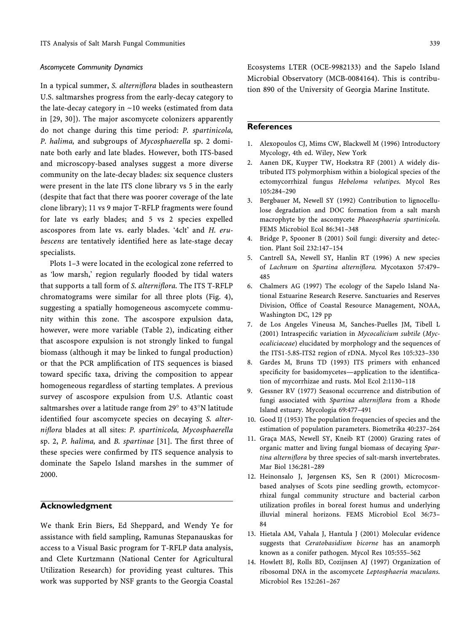#### **Ascomycete Community Dynamics**

In a typical summer, S. alterniflora blades in southeastern U.S. saltmarshes progress from the early-decay category to the late-decay category in  $~10$  weeks (estimated from data in [29, 30]). The major ascomycete colonizers apparently do not change during this time period: P. spartinicola, P. halima, and subgroups of Mycosphaerella sp. 2 dominate both early and late blades. However, both ITS-based and microscopy-based analyses suggest a more diverse community on the late-decay blades: six sequence clusters were present in the late ITS clone library vs 5 in the early (despite that fact that there was poorer coverage of the late clone library); 11 vs 9 major T-RFLP fragments were found for late vs early blades; and 5 vs 2 species expelled ascospores from late vs. early blades. '4clt' and H. erubescens are tentatively identified here as late-stage decay specialists.

Plots 1-3 were located in the ecological zone referred to as 'low marsh,' region regularly flooded by tidal waters that supports a tall form of S. alterniflora. The ITS T-RFLP chromatograms were similar for all three plots (Fig. 4), suggesting a spatially homogeneous ascomycete community within this zone. The ascospore expulsion data, however, were more variable (Table 2), indicating either that ascospore expulsion is not strongly linked to fungal biomass (although it may be linked to fungal production) or that the PCR amplification of ITS sequences is biased toward specific taxa, driving the composition to appear homogeneous regardless of starting templates. A previous survey of ascospore expulsion from U.S. Atlantic coast saltmarshes over a latitude range from 29° to 43°N latitude identified four ascomycete species on decaying S. alterniflora blades at all sites: P. spartinicola, Mycosphaerella sp. 2, P. halima, and B. spartinae [31]. The first three of these species were confirmed by ITS sequence analysis to dominate the Sapelo Island marshes in the summer of 2000.

# Acknowledgment

We thank Erin Biers, Ed Sheppard, and Wendy Ye for assistance with field sampling, Ramunas Stepanauskas for access to a Visual Basic program for T-RFLP data analysis, and Clete Kurtzmann (National Center for Agricultural Utilization Research) for providing yeast cultures. This work was supported by NSF grants to the Georgia Coastal Ecosystems LTER (OCE-9982133) and the Sapelo Island Microbial Observatory (MCB-0084164). This is contribution 890 of the University of Georgia Marine Institute.

## **References**

- 1. Alexopoulos CJ, Mims CW, Blackwell M (1996) Introductory Mycology, 4th ed. Wiley, New York
- 2. Aanen DK, Kuyper TW, Hoekstra RF (2001) A widely distributed ITS polymorphism within a biological species of the ectomycorrhizal fungus Hebeloma velutipes. Mycol Res 105:284-290
- 3. Bergbauer M, Newell SY (1992) Contribution to lignocellulose degradation and DOC formation from a salt marsh macrophyte by the ascomycete Phaeosphaeria spartinicola. FEMS Microbiol Ecol 86:341-348
- 4. Bridge P, Spooner B (2001) Soil fungi: diversity and detection. Plant Soil 232:147-154
- 5. Cantrell SA, Newell SY, Hanlin RT (1996) A new species of Lachnum on Spartina alterniflora. Mycotaxon 57:479-485
- 6. Chalmers AG (1997) The ecology of the Sapelo Island National Estuarine Research Reserve. Sanctuaries and Reserves Division, Office of Coastal Resource Management, NOAA, Washington DC, 129 pp
- 7. de Los Angeles Vineusa M, Sanches-Puelles JM, Tibell L (2001) Intraspecific variation in Mycocalicium subtile (Mycocaliciaceae) elucidated by morphology and the sequences of the ITS1-5.8S-ITS2 region of rDNA. Mycol Res 105:323-330
- Gardes M, Bruns TD (1993) ITS primers with enhanced 8. specificity for basidomycetes-application to the identification of mycorrhizae and rusts. Mol Ecol 2:1130-118
- 9. Gessner RV (1977) Seasonal occurrence and distribution of fungi associated with Spartina alterniflora from a Rhode Island estuary. Mycologia 69:477-491
- 10. Good IJ (1953) The population frequencies of species and the estimation of population parameters. Biometrika 40:237-264
- 11. Graça MAS, Newell SY, Kneib RT (2000) Grazing rates of organic matter and living fungal biomass of decaying Spartina alterniflora by three species of salt-marsh invertebrates. Mar Biol 136:281-289
- 12. Heinonsalo J, Jørgensen KS, Sen R (2001) Microcosmbased analyses of Scots pine seedling growth, ectomycorrhizal fungal community structure and bacterial carbon utilization profiles in boreal forest humus and underlying illuvial mineral horizons. FEMS Microbiol Ecol 36:73- $84$
- 13. Hietala AM, Vahala J, Hantula J (2001) Molecular evidence suggests that Ceratobasidium bicorne has an anamorph known as a conifer pathogen. Mycol Res 105:555-562
- 14. Howlett BJ, Rolls BD, Cozijnsen AJ (1997) Organization of ribosomal DNA in the ascomycete Leptosphaeria maculans. Microbiol Res 152:261-267